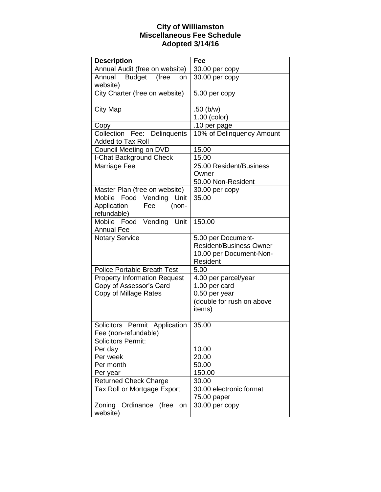## **City of Williamston Miscellaneous Fee Schedule Adopted 3/14/16**

| <b>Description</b>                                      | Fee                            |
|---------------------------------------------------------|--------------------------------|
| Annual Audit (free on website)                          | 30.00 per copy                 |
| Annual Budget<br>(free<br>on<br>website)                | 30.00 per copy                 |
| City Charter (free on website)                          | 5.00 per copy                  |
| <b>City Map</b>                                         | $.50$ (b/w)                    |
|                                                         | 1.00 (color)                   |
| Copy                                                    | .10 per page                   |
| Collection Fee: Delinquents<br><b>Added to Tax Roll</b> | 10% of Delinquency Amount      |
| Council Meeting on DVD                                  | 15.00                          |
| I-Chat Background Check                                 | 15.00                          |
| Marriage Fee                                            | 25.00 Resident/Business        |
|                                                         | Owner                          |
|                                                         | 50.00 Non-Resident             |
| Master Plan (free on website)                           | 30.00 per copy                 |
| Vending<br>Unit<br>Mobile<br>Food                       | 35.00                          |
| Application<br>(non-<br>Fee                             |                                |
| refundable)                                             |                                |
| Mobile Food Vending<br>Unit                             | 150.00                         |
| <b>Annual Fee</b>                                       |                                |
| <b>Notary Service</b>                                   | 5.00 per Document-             |
|                                                         | <b>Resident/Business Owner</b> |
|                                                         | 10.00 per Document-Non-        |
|                                                         | Resident                       |
| <b>Police Portable Breath Test</b>                      | 5.00                           |
| <b>Property Information Request</b>                     | 4.00 per parcel/year           |
| Copy of Assessor's Card                                 | 1.00 per card                  |
| Copy of Millage Rates                                   | 0.50 per year                  |
|                                                         | (double for rush on above      |
|                                                         | items)                         |
| Solicitors Permit Application                           | 35.00                          |
| Fee (non-refundable)                                    |                                |
| <b>Solicitors Permit:</b>                               |                                |
| Per day                                                 | 10.00                          |
| Per week                                                | 20.00                          |
| Per month                                               | 50.00                          |
| Per year                                                | 150.00                         |
| <b>Returned Check Charge</b>                            | 30.00                          |
| Tax Roll or Mortgage Export                             | 30.00 electronic format        |
|                                                         | 75.00 paper                    |
| Ordinance<br>Zoning<br>(free<br>on<br>website)          | 30.00 per copy                 |